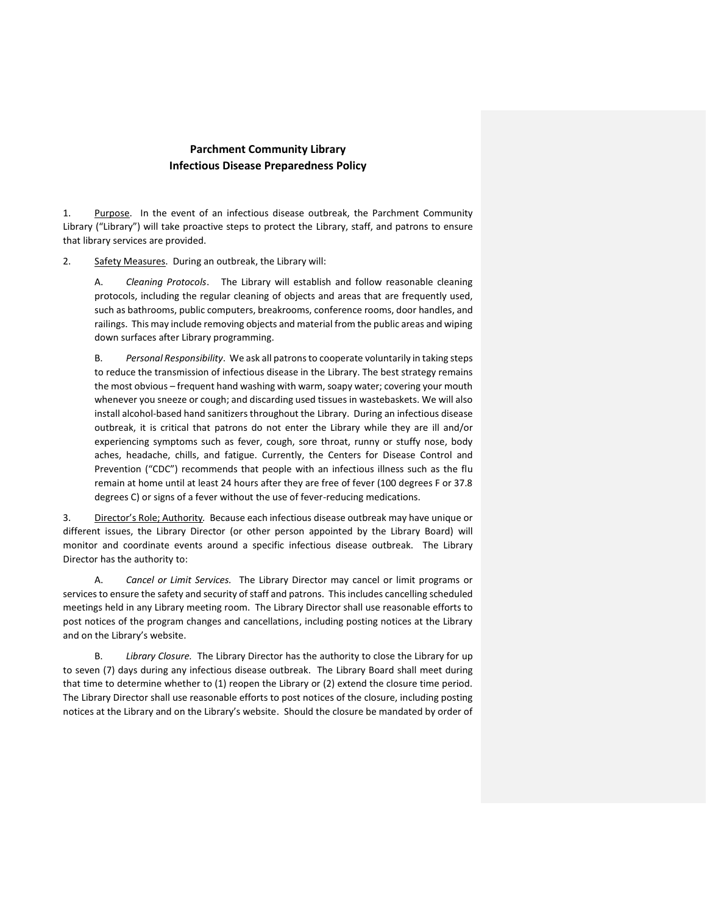## **Parchment Community Library Infectious Disease Preparedness Policy**

1. Purpose. In the event of an infectious disease outbreak, the Parchment Community Library ("Library") will take proactive steps to protect the Library, staff, and patrons to ensure that library services are provided.

2. Safety Measures. During an outbreak, the Library will:

A. *Cleaning Protocols*. The Library will establish and follow reasonable cleaning protocols, including the regular cleaning of objects and areas that are frequently used, such as bathrooms, public computers, breakrooms, conference rooms, door handles, and railings. This may include removing objects and material from the public areas and wiping down surfaces after Library programming.

B. *Personal Responsibility*. We ask all patrons to cooperate voluntarily in taking steps to reduce the transmission of infectious disease in the Library. The best strategy remains the most obvious – frequent hand washing with warm, soapy water; covering your mouth whenever you sneeze or cough; and discarding used tissues in wastebaskets. We will also install alcohol-based hand sanitizers throughout the Library. During an infectious disease outbreak, it is critical that patrons do not enter the Library while they are ill and/or experiencing symptoms such as fever, cough, sore throat, runny or stuffy nose, body aches, headache, chills, and fatigue. Currently, the Centers for Disease Control and Prevention ("CDC") recommends that people with an infectious illness such as the flu remain at home until at least 24 hours after they are free of fever (100 degrees F or 37.8 degrees C) or signs of a fever without the use of fever-reducing medications.

3. Director's Role; Authority*.* Because each infectious disease outbreak may have unique or different issues, the Library Director (or other person appointed by the Library Board) will monitor and coordinate events around a specific infectious disease outbreak. The Library Director has the authority to:

A. *Cancel or Limit Services.* The Library Director may cancel or limit programs or services to ensure the safety and security of staff and patrons. This includes cancelling scheduled meetings held in any Library meeting room. The Library Director shall use reasonable efforts to post notices of the program changes and cancellations, including posting notices at the Library and on the Library's website.

B. *Library Closure.* The Library Director has the authority to close the Library for up to seven (7) days during any infectious disease outbreak. The Library Board shall meet during that time to determine whether to (1) reopen the Library or (2) extend the closure time period. The Library Director shall use reasonable efforts to post notices of the closure, including posting notices at the Library and on the Library's website. Should the closure be mandated by order of